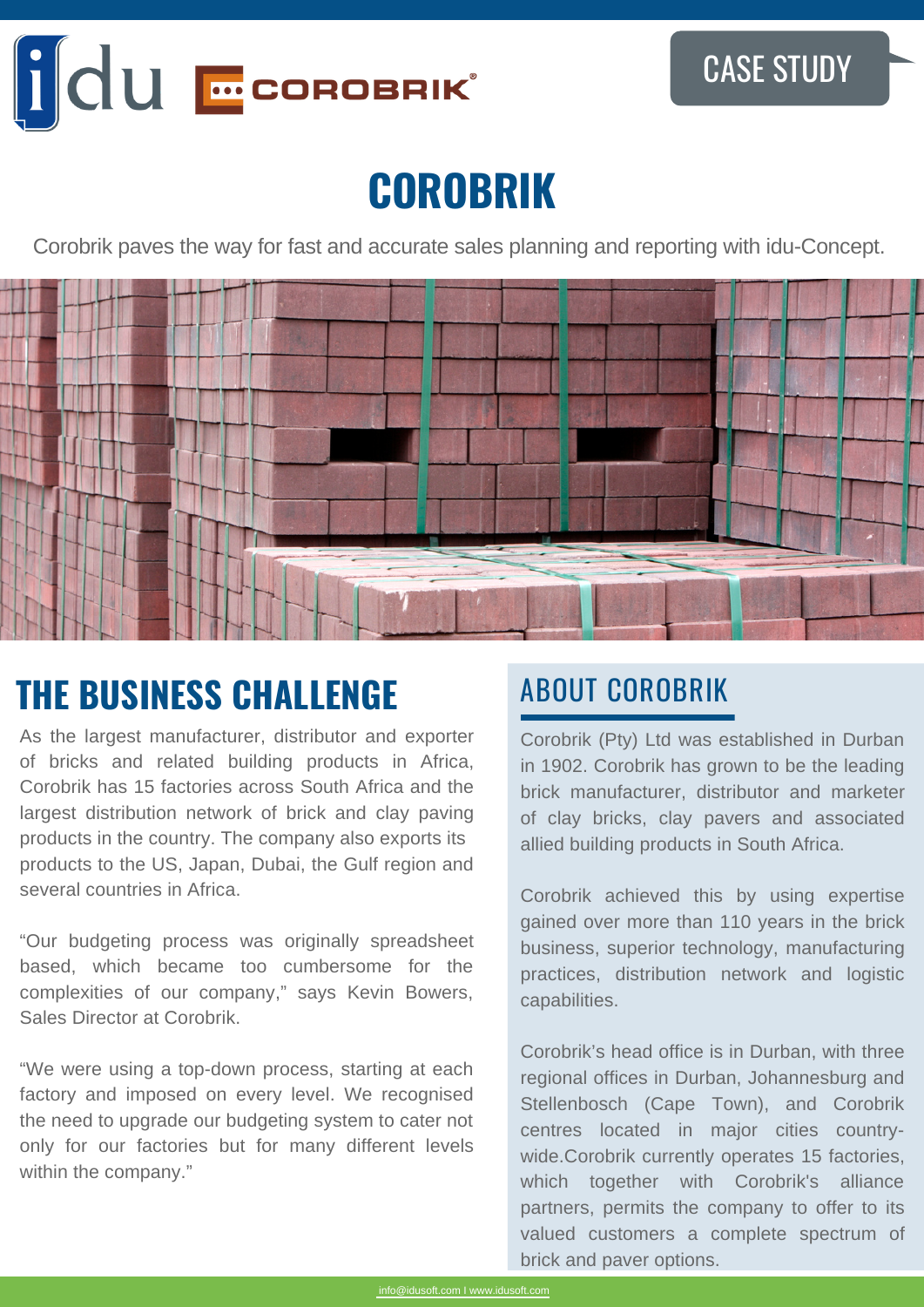

# **COROBRIK**

Corobrik paves the way for fast and accurate sales planning and reporting with idu-Concept.



## **THE BUSINESS CHALLENGE ABOUT COROBRIK**

As the largest manufacturer, distributor and exporter of bricks and related building products in Africa, Corobrik has 15 factories across South Africa and the largest distribution network of brick and clay paving products in the country. The company also exports its products to the US, Japan, Dubai, the Gulf region and several countries in Africa.

"Our budgeting process was originally spreadsheet based, which became too cumbersome for the complexities of our company," says Kevin Bowers, Sales Director at Corobrik.

"We were using a top-down process, starting at each factory and imposed on every level. We recognised the need to upgrade our budgeting system to cater not only for our factories but for many different levels within the company."

Corobrik (Pty) Ltd was established in Durban in 1902. Corobrik has grown to be the leading brick manufacturer, distributor and marketer of clay bricks, clay pavers and associated allied building products in South Africa.

Corobrik achieved this by using expertise gained over more than 110 years in the brick business, superior technology, manufacturing practices, distribution network and logistic capabilities.

Corobrik's head office is in Durban, with three regional offices in Durban, Johannesburg and Stellenbosch (Cape Town), and Corobrik centres located in major cities countrywide.Corobrik currently operates 15 factories, which together with Corobrik's alliance partners, permits the company to offer to its valued customers a complete spectrum of brick and paver options.